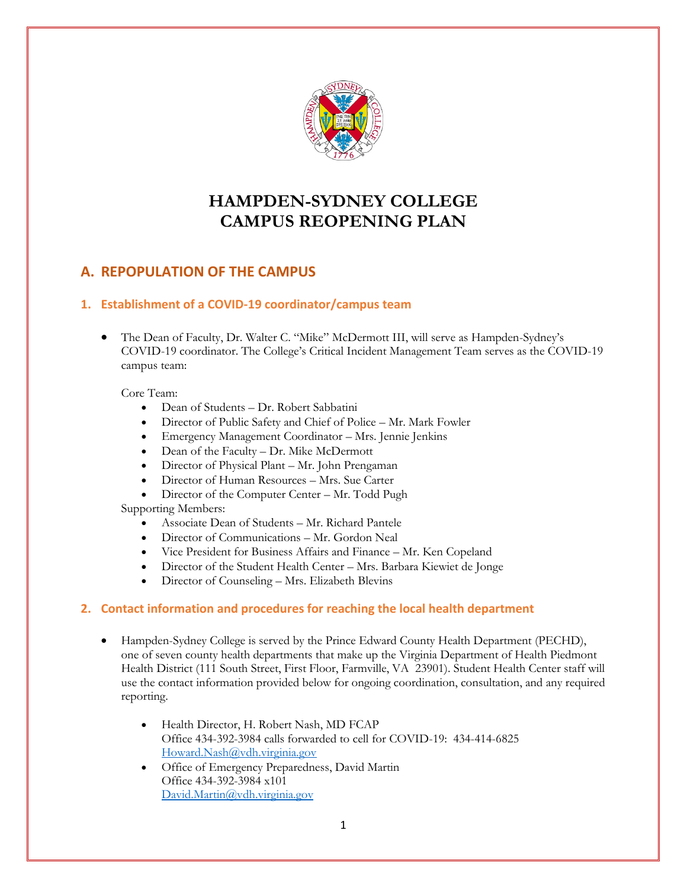

# **HAMPDEN-SYDNEY COLLEGE CAMPUS REOPENING PLAN**

## **A. REPOPULATION OF THE CAMPUS**

## **1. Establishment of a COVID-19 coordinator/campus team**

 The Dean of Faculty, Dr. Walter C. "Mike" McDermott III, will serve as Hampden-Sydney's COVID-19 coordinator. The College's Critical Incident Management Team serves as the COVID-19 campus team:

#### Core Team:

- Dean of Students Dr. Robert Sabbatini
- Director of Public Safety and Chief of Police Mr. Mark Fowler
- Emergency Management Coordinator Mrs. Jennie Jenkins
- Dean of the Faculty Dr. Mike McDermott
- Director of Physical Plant Mr. John Prengaman
- Director of Human Resources Mrs. Sue Carter
- Director of the Computer Center Mr. Todd Pugh

Supporting Members:

- Associate Dean of Students Mr. Richard Pantele
- Director of Communications Mr. Gordon Neal
- Vice President for Business Affairs and Finance Mr. Ken Copeland
- Director of the Student Health Center Mrs. Barbara Kiewiet de Jonge
- Director of Counseling Mrs. Elizabeth Blevins

#### **2. Contact information and procedures for reaching the local health department**

- Hampden-Sydney College is served by the Prince Edward County Health Department (PECHD), one of seven county health departments that make up the Virginia Department of Health Piedmont Health District (111 South Street, First Floor, Farmville, VA 23901). Student Health Center staff will use the contact information provided below for ongoing coordination, consultation, and any required reporting.
	- Health Director, H. Robert Nash, MD FCAP Office 434-392-3984 calls forwarded to cell for COVID-19: 434-414-6825 [Howard.Nash@vdh.virginia.gov](mailto:Howard.Nash@vdh.virginia.gov)
	- Office of Emergency Preparedness, David Martin Office 434-392-3984 x101 David.Martin@vdh.virginia.gov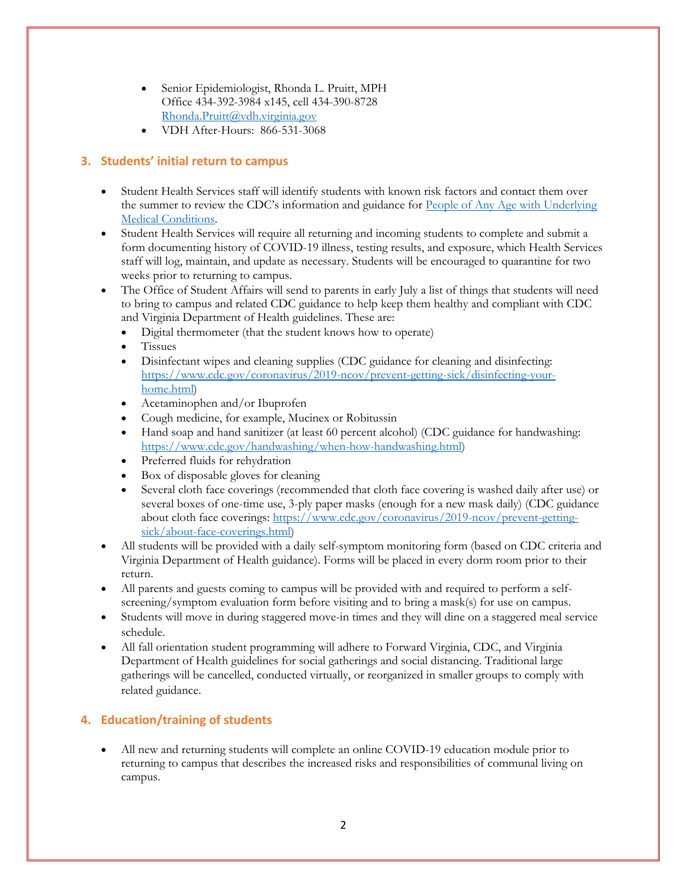- Senior Epidemiologist, Rhonda L. Pruitt, MPH Office 434-392-3984 x145, cell 434-390-8728 [Rhonda.Pruitt@vdh.virginia.gov](mailto:Rhonda.Pruitt@vdh.virginia.gov)
- VDH After-Hours: 866-531-3068

## **3. Students' initial return to campus**

- Student Health Services staff will identify students with known risk factors and contact them over the summer to review the CDC's information and guidance for People of Any Age with Underlying [Medical Conditions.](https://www.cdc.gov/coronavirus/2019-ncov/need-extra-precautions/people-with-medical-conditions.html?CDC_AA_refVal=https%3A%2F%2Fwww.cdc.gov%2Fcoronavirus%2F2019-ncov%2Fneed-extra-precautions%2Fgroups-at-higher-risk.html)
- Student Health Services will require all returning and incoming students to complete and submit a form documenting history of COVID-19 illness, testing results, and exposure, which Health Services staff will log, maintain, and update as necessary. Students will be encouraged to quarantine for two weeks prior to returning to campus.
- The Office of Student Affairs will send to parents in early July a list of things that students will need to bring to campus and related CDC guidance to help keep them healthy and compliant with CDC and Virginia Department of Health guidelines. These are:
	- Digital thermometer (that the student knows how to operate)
	- Tissues
	- Disinfectant wipes and cleaning supplies (CDC guidance for cleaning and disinfecting: [https://www.cdc.gov/coronavirus/2019-ncov/prevent-getting-sick/disinfecting-your](https://www.cdc.gov/coronavirus/2019-ncov/prevent-getting-sick/disinfecting-your-home.html)[home.html\)](https://www.cdc.gov/coronavirus/2019-ncov/prevent-getting-sick/disinfecting-your-home.html)
	- Acetaminophen and/or Ibuprofen
	- Cough medicine, for example, Mucinex or Robitussin
	- Hand soap and hand sanitizer (at least 60 percent alcohol) (CDC guidance for handwashing: [https://www.cdc.gov/handwashing/when-how-handwashing.html\)](https://www.cdc.gov/handwashing/when-how-handwashing.html)
	- Preferred fluids for rehydration
	- Box of disposable gloves for cleaning
	- Several cloth face coverings (recommended that cloth face covering is washed daily after use) or several boxes of one-time use, 3-ply paper masks (enough for a new mask daily) (CDC guidance about cloth face coverings: [https://www.cdc.gov/coronavirus/2019-ncov/prevent-getting](https://www.cdc.gov/coronavirus/2019-ncov/prevent-getting-sick/about-face-coverings.html)[sick/about-face-coverings.html\)](https://www.cdc.gov/coronavirus/2019-ncov/prevent-getting-sick/about-face-coverings.html)
- All students will be provided with a daily self-symptom monitoring form (based on CDC criteria and Virginia Department of Health guidance). Forms will be placed in every dorm room prior to their return.
- All parents and guests coming to campus will be provided with and required to perform a selfscreening/symptom evaluation form before visiting and to bring a mask(s) for use on campus.
- Students will move in during staggered move-in times and they will dine on a staggered meal service schedule.
- All fall orientation student programming will adhere to Forward Virginia, CDC, and Virginia Department of Health guidelines for social gatherings and social distancing. Traditional large gatherings will be cancelled, conducted virtually, or reorganized in smaller groups to comply with related guidance.

## **4. Education/training of students**

 All new and returning students will complete an online COVID-19 education module prior to returning to campus that describes the increased risks and responsibilities of communal living on campus.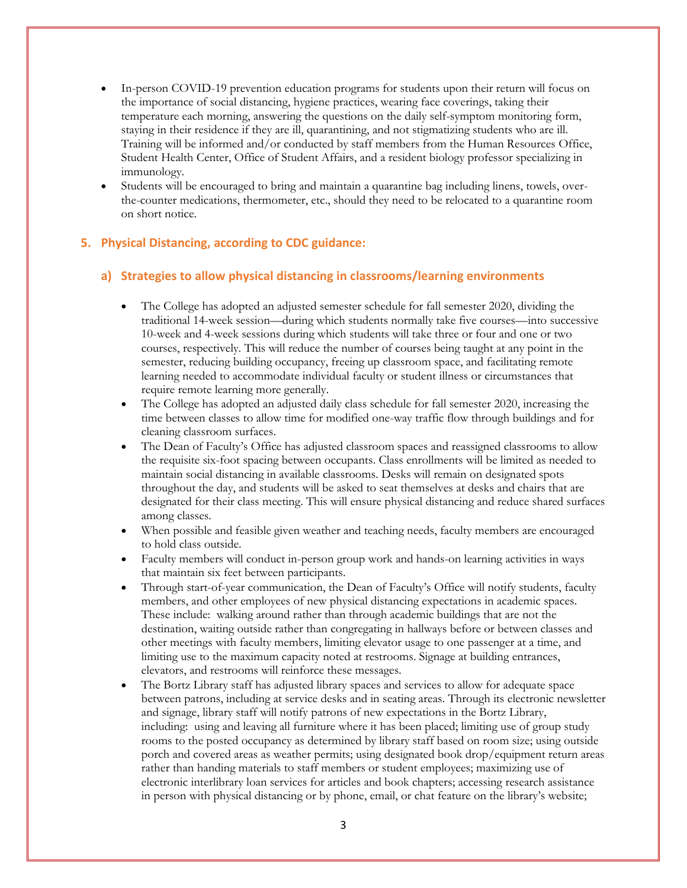- In-person COVID-19 prevention education programs for students upon their return will focus on the importance of social distancing, hygiene practices, wearing face coverings, taking their temperature each morning, answering the questions on the daily self-symptom monitoring form, staying in their residence if they are ill, quarantining, and not stigmatizing students who are ill. Training will be informed and/or conducted by staff members from the Human Resources Office, Student Health Center, Office of Student Affairs, and a resident biology professor specializing in immunology.
- Students will be encouraged to bring and maintain a quarantine bag including linens, towels, overthe-counter medications, thermometer, etc., should they need to be relocated to a quarantine room on short notice.

#### **5. Physical Distancing, according to CDC guidance:**

#### **a) Strategies to allow physical distancing in classrooms/learning environments**

- The College has adopted an adjusted semester schedule for fall semester 2020, dividing the traditional 14-week session—during which students normally take five courses—into successive 10-week and 4-week sessions during which students will take three or four and one or two courses, respectively. This will reduce the number of courses being taught at any point in the semester, reducing building occupancy, freeing up classroom space, and facilitating remote learning needed to accommodate individual faculty or student illness or circumstances that require remote learning more generally.
- The College has adopted an adjusted daily class schedule for fall semester 2020, increasing the time between classes to allow time for modified one-way traffic flow through buildings and for cleaning classroom surfaces.
- The Dean of Faculty's Office has adjusted classroom spaces and reassigned classrooms to allow the requisite six-foot spacing between occupants. Class enrollments will be limited as needed to maintain social distancing in available classrooms. Desks will remain on designated spots throughout the day, and students will be asked to seat themselves at desks and chairs that are designated for their class meeting. This will ensure physical distancing and reduce shared surfaces among classes.
- When possible and feasible given weather and teaching needs, faculty members are encouraged to hold class outside.
- Faculty members will conduct in-person group work and hands-on learning activities in ways that maintain six feet between participants.
- Through start-of-year communication, the Dean of Faculty's Office will notify students, faculty members, and other employees of new physical distancing expectations in academic spaces. These include: walking around rather than through academic buildings that are not the destination, waiting outside rather than congregating in hallways before or between classes and other meetings with faculty members, limiting elevator usage to one passenger at a time, and limiting use to the maximum capacity noted at restrooms. Signage at building entrances, elevators, and restrooms will reinforce these messages.
- The Bortz Library staff has adjusted library spaces and services to allow for adequate space between patrons, including at service desks and in seating areas. Through its electronic newsletter and signage, library staff will notify patrons of new expectations in the Bortz Library, including: using and leaving all furniture where it has been placed; limiting use of group study rooms to the posted occupancy as determined by library staff based on room size; using outside porch and covered areas as weather permits; using designated book drop/equipment return areas rather than handing materials to staff members or student employees; maximizing use of electronic interlibrary loan services for articles and book chapters; accessing research assistance in person with physical distancing or by phone, email, or chat feature on the library's website;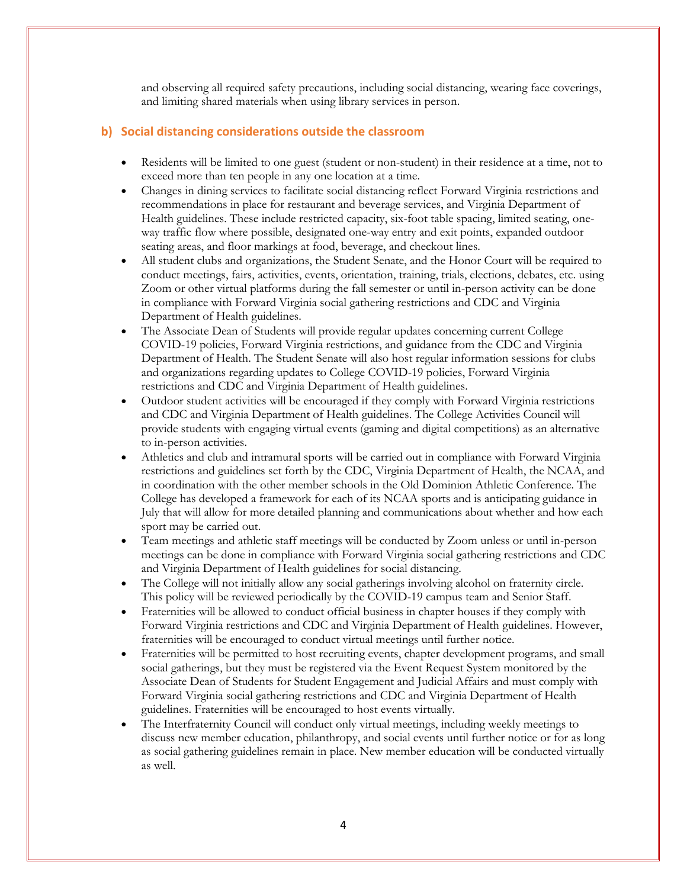and observing all required safety precautions, including social distancing, wearing face coverings, and limiting shared materials when using library services in person.

#### **b) Social distancing considerations outside the classroom**

- Residents will be limited to one guest (student or non-student) in their residence at a time, not to exceed more than ten people in any one location at a time.
- Changes in dining services to facilitate social distancing reflect Forward Virginia restrictions and recommendations in place for restaurant and beverage services, and Virginia Department of Health guidelines. These include restricted capacity, six-foot table spacing, limited seating, oneway traffic flow where possible, designated one-way entry and exit points, expanded outdoor seating areas, and floor markings at food, beverage, and checkout lines.
- All student clubs and organizations, the Student Senate, and the Honor Court will be required to conduct meetings, fairs, activities, events, orientation, training, trials, elections, debates, etc. using Zoom or other virtual platforms during the fall semester or until in-person activity can be done in compliance with Forward Virginia social gathering restrictions and CDC and Virginia Department of Health guidelines.
- The Associate Dean of Students will provide regular updates concerning current College COVID-19 policies, Forward Virginia restrictions, and guidance from the CDC and Virginia Department of Health. The Student Senate will also host regular information sessions for clubs and organizations regarding updates to College COVID-19 policies, Forward Virginia restrictions and CDC and Virginia Department of Health guidelines.
- Outdoor student activities will be encouraged if they comply with Forward Virginia restrictions and CDC and Virginia Department of Health guidelines. The College Activities Council will provide students with engaging virtual events (gaming and digital competitions) as an alternative to in-person activities.
- Athletics and club and intramural sports will be carried out in compliance with Forward Virginia restrictions and guidelines set forth by the CDC, Virginia Department of Health, the NCAA, and in coordination with the other member schools in the Old Dominion Athletic Conference. The College has developed a framework for each of its NCAA sports and is anticipating guidance in July that will allow for more detailed planning and communications about whether and how each sport may be carried out.
- Team meetings and athletic staff meetings will be conducted by Zoom unless or until in-person meetings can be done in compliance with Forward Virginia social gathering restrictions and CDC and Virginia Department of Health guidelines for social distancing.
- The College will not initially allow any social gatherings involving alcohol on fraternity circle. This policy will be reviewed periodically by the COVID-19 campus team and Senior Staff.
- Fraternities will be allowed to conduct official business in chapter houses if they comply with Forward Virginia restrictions and CDC and Virginia Department of Health guidelines. However, fraternities will be encouraged to conduct virtual meetings until further notice.
- Fraternities will be permitted to host recruiting events, chapter development programs, and small social gatherings, but they must be registered via the Event Request System monitored by the Associate Dean of Students for Student Engagement and Judicial Affairs and must comply with Forward Virginia social gathering restrictions and CDC and Virginia Department of Health guidelines. Fraternities will be encouraged to host events virtually.
- The Interfraternity Council will conduct only virtual meetings, including weekly meetings to discuss new member education, philanthropy, and social events until further notice or for as long as social gathering guidelines remain in place. New member education will be conducted virtually as well.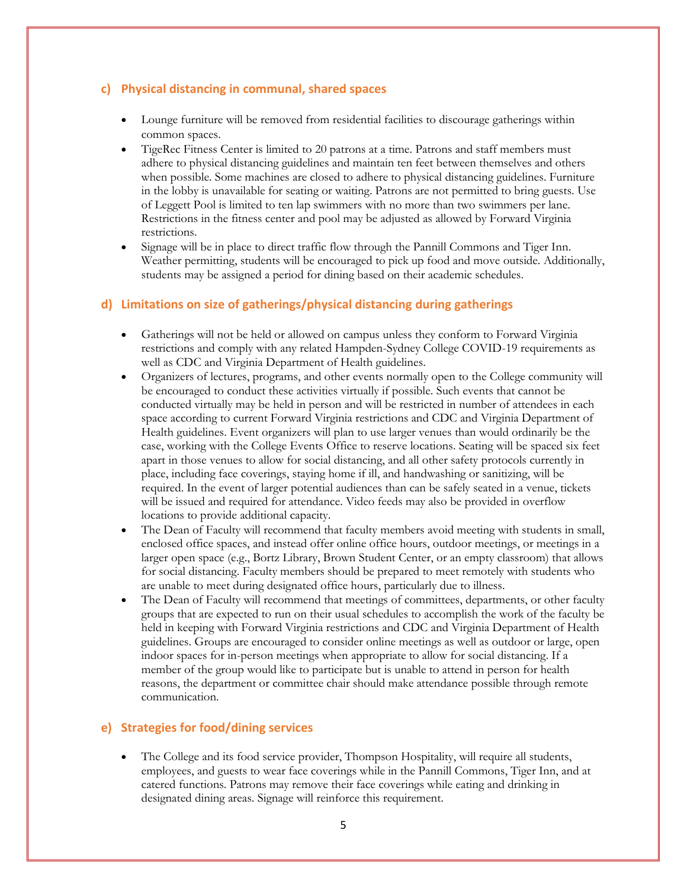#### **c) Physical distancing in communal, shared spaces**

- Lounge furniture will be removed from residential facilities to discourage gatherings within common spaces.
- TigeRec Fitness Center is limited to 20 patrons at a time. Patrons and staff members must adhere to physical distancing guidelines and maintain ten feet between themselves and others when possible. Some machines are closed to adhere to physical distancing guidelines. Furniture in the lobby is unavailable for seating or waiting. Patrons are not permitted to bring guests. Use of Leggett Pool is limited to ten lap swimmers with no more than two swimmers per lane. Restrictions in the fitness center and pool may be adjusted as allowed by Forward Virginia restrictions.
- Signage will be in place to direct traffic flow through the Pannill Commons and Tiger Inn. Weather permitting, students will be encouraged to pick up food and move outside. Additionally, students may be assigned a period for dining based on their academic schedules.

## **d) Limitations on size of gatherings/physical distancing during gatherings**

- Gatherings will not be held or allowed on campus unless they conform to Forward Virginia restrictions and comply with any related Hampden-Sydney College COVID-19 requirements as well as CDC and Virginia Department of Health guidelines.
- Organizers of lectures, programs, and other events normally open to the College community will be encouraged to conduct these activities virtually if possible. Such events that cannot be conducted virtually may be held in person and will be restricted in number of attendees in each space according to current Forward Virginia restrictions and CDC and Virginia Department of Health guidelines. Event organizers will plan to use larger venues than would ordinarily be the case, working with the College Events Office to reserve locations. Seating will be spaced six feet apart in those venues to allow for social distancing, and all other safety protocols currently in place, including face coverings, staying home if ill, and handwashing or sanitizing, will be required. In the event of larger potential audiences than can be safely seated in a venue, tickets will be issued and required for attendance. Video feeds may also be provided in overflow locations to provide additional capacity.
- The Dean of Faculty will recommend that faculty members avoid meeting with students in small, enclosed office spaces, and instead offer online office hours, outdoor meetings, or meetings in a larger open space (e.g., Bortz Library, Brown Student Center, or an empty classroom) that allows for social distancing. Faculty members should be prepared to meet remotely with students who are unable to meet during designated office hours, particularly due to illness.
- The Dean of Faculty will recommend that meetings of committees, departments, or other faculty groups that are expected to run on their usual schedules to accomplish the work of the faculty be held in keeping with Forward Virginia restrictions and CDC and Virginia Department of Health guidelines. Groups are encouraged to consider online meetings as well as outdoor or large, open indoor spaces for in-person meetings when appropriate to allow for social distancing. If a member of the group would like to participate but is unable to attend in person for health reasons, the department or committee chair should make attendance possible through remote communication.

#### **e) Strategies for food/dining services**

 The College and its food service provider, Thompson Hospitality, will require all students, employees, and guests to wear face coverings while in the Pannill Commons, Tiger Inn, and at catered functions. Patrons may remove their face coverings while eating and drinking in designated dining areas. Signage will reinforce this requirement.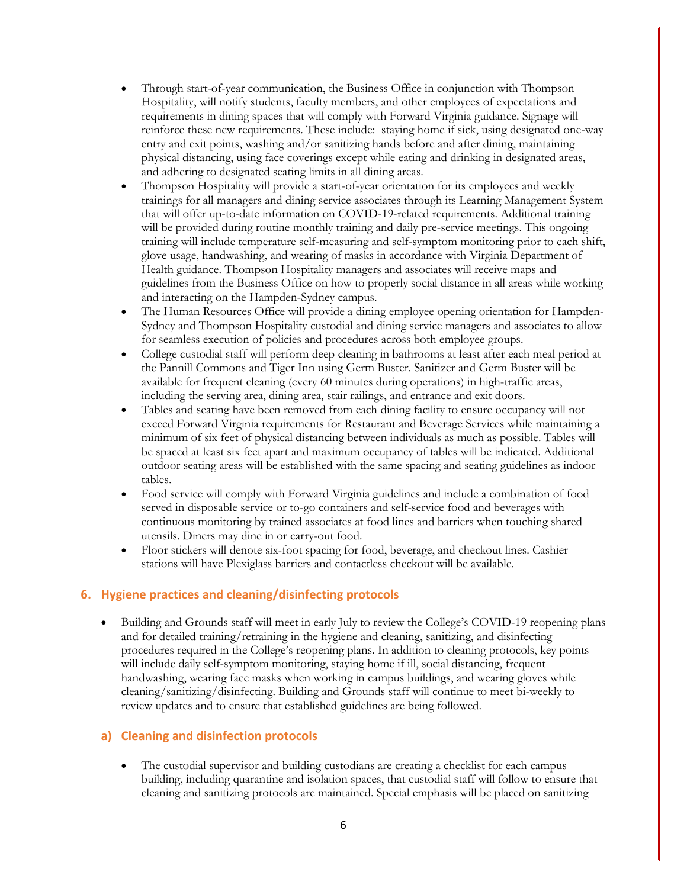- Through start-of-year communication, the Business Office in conjunction with Thompson Hospitality, will notify students, faculty members, and other employees of expectations and requirements in dining spaces that will comply with Forward Virginia guidance. Signage will reinforce these new requirements. These include: staying home if sick, using designated one-way entry and exit points, washing and/or sanitizing hands before and after dining, maintaining physical distancing, using face coverings except while eating and drinking in designated areas, and adhering to designated seating limits in all dining areas.
- Thompson Hospitality will provide a start-of-year orientation for its employees and weekly trainings for all managers and dining service associates through its Learning Management System that will offer up-to-date information on COVID-19-related requirements. Additional training will be provided during routine monthly training and daily pre-service meetings. This ongoing training will include temperature self-measuring and self-symptom monitoring prior to each shift, glove usage, handwashing, and wearing of masks in accordance with Virginia Department of Health guidance. Thompson Hospitality managers and associates will receive maps and guidelines from the Business Office on how to properly social distance in all areas while working and interacting on the Hampden-Sydney campus.
- The Human Resources Office will provide a dining employee opening orientation for Hampden-Sydney and Thompson Hospitality custodial and dining service managers and associates to allow for seamless execution of policies and procedures across both employee groups.
- College custodial staff will perform deep cleaning in bathrooms at least after each meal period at the Pannill Commons and Tiger Inn using Germ Buster. Sanitizer and Germ Buster will be available for frequent cleaning (every 60 minutes during operations) in high-traffic areas, including the serving area, dining area, stair railings, and entrance and exit doors.
- Tables and seating have been removed from each dining facility to ensure occupancy will not exceed Forward Virginia requirements for Restaurant and Beverage Services while maintaining a minimum of six feet of physical distancing between individuals as much as possible. Tables will be spaced at least six feet apart and maximum occupancy of tables will be indicated. Additional outdoor seating areas will be established with the same spacing and seating guidelines as indoor tables.
- Food service will comply with Forward Virginia guidelines and include a combination of food served in disposable service or to-go containers and self-service food and beverages with continuous monitoring by trained associates at food lines and barriers when touching shared utensils. Diners may dine in or carry-out food.
- Floor stickers will denote six-foot spacing for food, beverage, and checkout lines. Cashier stations will have Plexiglass barriers and contactless checkout will be available.

#### **6. Hygiene practices and cleaning/disinfecting protocols**

 Building and Grounds staff will meet in early July to review the College's COVID-19 reopening plans and for detailed training/retraining in the hygiene and cleaning, sanitizing, and disinfecting procedures required in the College's reopening plans. In addition to cleaning protocols, key points will include daily self-symptom monitoring, staying home if ill, social distancing, frequent handwashing, wearing face masks when working in campus buildings, and wearing gloves while cleaning/sanitizing/disinfecting. Building and Grounds staff will continue to meet bi-weekly to review updates and to ensure that established guidelines are being followed.

#### **a) Cleaning and disinfection protocols**

 The custodial supervisor and building custodians are creating a checklist for each campus building, including quarantine and isolation spaces, that custodial staff will follow to ensure that cleaning and sanitizing protocols are maintained. Special emphasis will be placed on sanitizing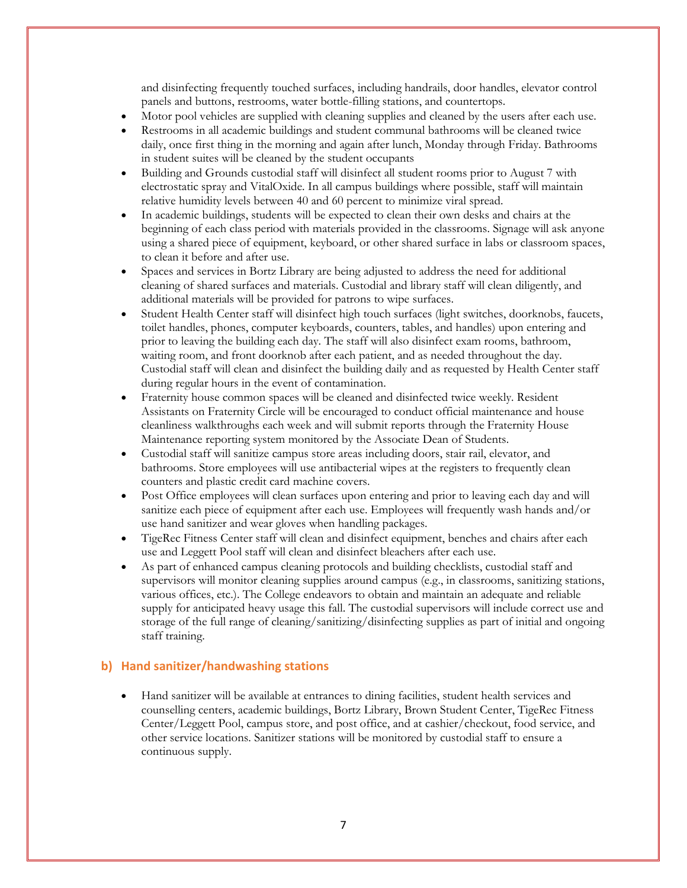and disinfecting frequently touched surfaces, including handrails, door handles, elevator control panels and buttons, restrooms, water bottle-filling stations, and countertops.

- Motor pool vehicles are supplied with cleaning supplies and cleaned by the users after each use.
- Restrooms in all academic buildings and student communal bathrooms will be cleaned twice daily, once first thing in the morning and again after lunch, Monday through Friday. Bathrooms in student suites will be cleaned by the student occupants
- Building and Grounds custodial staff will disinfect all student rooms prior to August 7 with electrostatic spray and VitalOxide. In all campus buildings where possible, staff will maintain relative humidity levels between 40 and 60 percent to minimize viral spread.
- In academic buildings, students will be expected to clean their own desks and chairs at the beginning of each class period with materials provided in the classrooms. Signage will ask anyone using a shared piece of equipment, keyboard, or other shared surface in labs or classroom spaces, to clean it before and after use.
- Spaces and services in Bortz Library are being adjusted to address the need for additional cleaning of shared surfaces and materials. Custodial and library staff will clean diligently, and additional materials will be provided for patrons to wipe surfaces.
- Student Health Center staff will disinfect high touch surfaces (light switches, doorknobs, faucets, toilet handles, phones, computer keyboards, counters, tables, and handles) upon entering and prior to leaving the building each day. The staff will also disinfect exam rooms, bathroom, waiting room, and front doorknob after each patient, and as needed throughout the day. Custodial staff will clean and disinfect the building daily and as requested by Health Center staff during regular hours in the event of contamination.
- Fraternity house common spaces will be cleaned and disinfected twice weekly. Resident Assistants on Fraternity Circle will be encouraged to conduct official maintenance and house cleanliness walkthroughs each week and will submit reports through the Fraternity House Maintenance reporting system monitored by the Associate Dean of Students.
- Custodial staff will sanitize campus store areas including doors, stair rail, elevator, and bathrooms. Store employees will use antibacterial wipes at the registers to frequently clean counters and plastic credit card machine covers.
- Post Office employees will clean surfaces upon entering and prior to leaving each day and will sanitize each piece of equipment after each use. Employees will frequently wash hands and/or use hand sanitizer and wear gloves when handling packages.
- TigeRec Fitness Center staff will clean and disinfect equipment, benches and chairs after each use and Leggett Pool staff will clean and disinfect bleachers after each use.
- As part of enhanced campus cleaning protocols and building checklists, custodial staff and supervisors will monitor cleaning supplies around campus (e.g., in classrooms, sanitizing stations, various offices, etc.). The College endeavors to obtain and maintain an adequate and reliable supply for anticipated heavy usage this fall. The custodial supervisors will include correct use and storage of the full range of cleaning/sanitizing/disinfecting supplies as part of initial and ongoing staff training.

#### **b) Hand sanitizer/handwashing stations**

 Hand sanitizer will be available at entrances to dining facilities, student health services and counselling centers, academic buildings, Bortz Library, Brown Student Center, TigeRec Fitness Center/Leggett Pool, campus store, and post office, and at cashier/checkout, food service, and other service locations. Sanitizer stations will be monitored by custodial staff to ensure a continuous supply.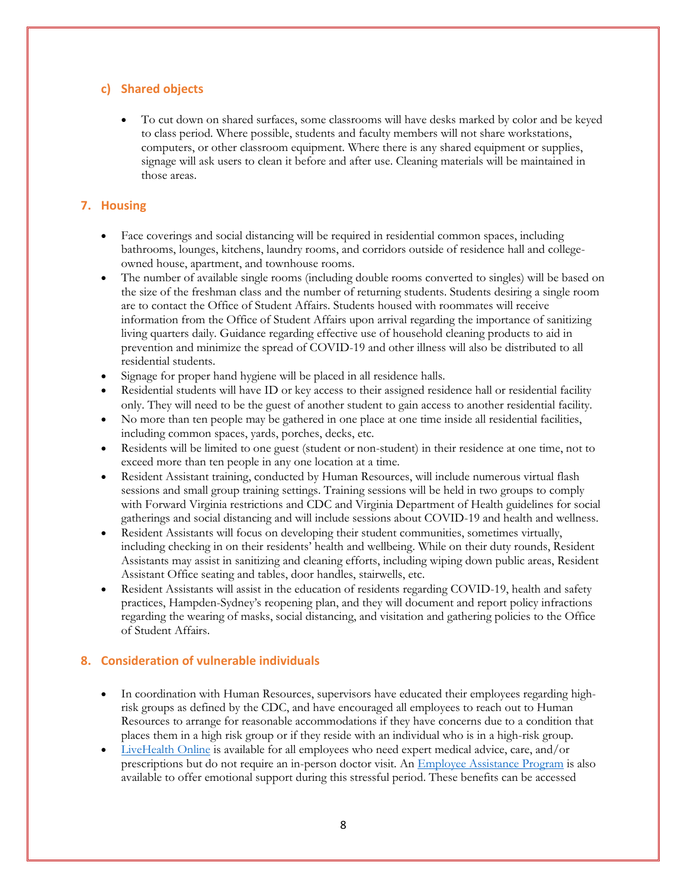## **c) Shared objects**

 To cut down on shared surfaces, some classrooms will have desks marked by color and be keyed to class period. Where possible, students and faculty members will not share workstations, computers, or other classroom equipment. Where there is any shared equipment or supplies, signage will ask users to clean it before and after use. Cleaning materials will be maintained in those areas.

#### **7. Housing**

- Face coverings and social distancing will be required in residential common spaces, including bathrooms, lounges, kitchens, laundry rooms, and corridors outside of residence hall and collegeowned house, apartment, and townhouse rooms.
- The number of available single rooms (including double rooms converted to singles) will be based on the size of the freshman class and the number of returning students. Students desiring a single room are to contact the Office of Student Affairs. Students housed with roommates will receive information from the Office of Student Affairs upon arrival regarding the importance of sanitizing living quarters daily. Guidance regarding effective use of household cleaning products to aid in prevention and minimize the spread of COVID-19 and other illness will also be distributed to all residential students.
- Signage for proper hand hygiene will be placed in all residence halls.
- Residential students will have ID or key access to their assigned residence hall or residential facility only. They will need to be the guest of another student to gain access to another residential facility.
- No more than ten people may be gathered in one place at one time inside all residential facilities, including common spaces, yards, porches, decks, etc.
- Residents will be limited to one guest (student or non-student) in their residence at one time, not to exceed more than ten people in any one location at a time.
- Resident Assistant training, conducted by Human Resources, will include numerous virtual flash sessions and small group training settings. Training sessions will be held in two groups to comply with Forward Virginia restrictions and CDC and Virginia Department of Health guidelines for social gatherings and social distancing and will include sessions about COVID-19 and health and wellness.
- Resident Assistants will focus on developing their student communities, sometimes virtually, including checking in on their residents' health and wellbeing. While on their duty rounds, Resident Assistants may assist in sanitizing and cleaning efforts, including wiping down public areas, Resident Assistant Office seating and tables, door handles, stairwells, etc.
- Resident Assistants will assist in the education of residents regarding COVID-19, health and safety practices, Hampden-Sydney's reopening plan, and they will document and report policy infractions regarding the wearing of masks, social distancing, and visitation and gathering policies to the Office of Student Affairs.

#### **8. Consideration of vulnerable individuals**

- In coordination with Human Resources, supervisors have educated their employees regarding highrisk groups as defined by the CDC, and have encouraged all employees to reach out to Human Resources to arrange for reasonable accommodations if they have concerns due to a condition that places them in a high risk group or if they reside with an individual who is in a high-risk group.
- [LiveHealth Online](https://livehealthonline.com/) is available for all employees who need expert medical advice, care, and/or prescriptions but do not require an in-person doctor visit. An [Employee Assistance Program](https://www.anthem.com/employer/eap/employee/) is also available to offer emotional support during this stressful period. These benefits can be accessed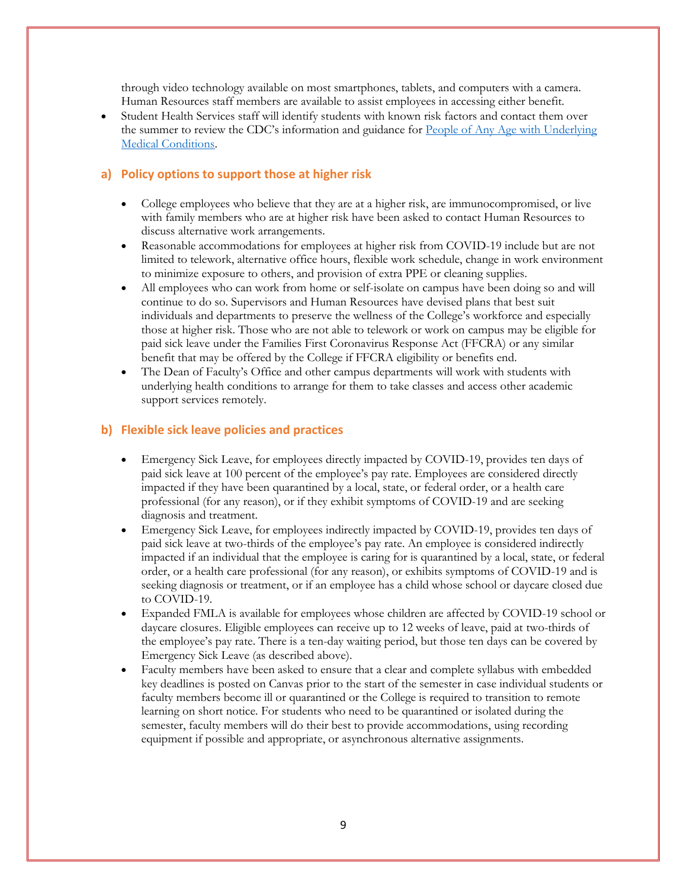through video technology available on most smartphones, tablets, and computers with a camera. Human Resources staff members are available to assist employees in accessing either benefit.

 Student Health Services staff will identify students with known risk factors and contact them over the summer to review the CDC's information and guidance for People of Any Age with Underlying [Medical Conditions.](https://www.cdc.gov/coronavirus/2019-ncov/need-extra-precautions/people-with-medical-conditions.html?CDC_AA_refVal=https%3A%2F%2Fwww.cdc.gov%2Fcoronavirus%2F2019-ncov%2Fneed-extra-precautions%2Fgroups-at-higher-risk.html) 

#### **a) Policy options to support those at higher risk**

- College employees who believe that they are at a higher risk, are immunocompromised, or live with family members who are at higher risk have been asked to contact Human Resources to discuss alternative work arrangements.
- Reasonable accommodations for employees at higher risk from COVID-19 include but are not limited to telework, alternative office hours, flexible work schedule, change in work environment to minimize exposure to others, and provision of extra PPE or cleaning supplies.
- All employees who can work from home or self-isolate on campus have been doing so and will continue to do so. Supervisors and Human Resources have devised plans that best suit individuals and departments to preserve the wellness of the College's workforce and especially those at higher risk. Those who are not able to telework or work on campus may be eligible for paid sick leave under the Families First Coronavirus Response Act (FFCRA) or any similar benefit that may be offered by the College if FFCRA eligibility or benefits end.
- The Dean of Faculty's Office and other campus departments will work with students with underlying health conditions to arrange for them to take classes and access other academic support services remotely.

#### **b) Flexible sick leave policies and practices**

- Emergency Sick Leave, for employees directly impacted by COVID-19, provides ten days of paid sick leave at 100 percent of the employee's pay rate. Employees are considered directly impacted if they have been quarantined by a local, state, or federal order, or a health care professional (for any reason), or if they exhibit symptoms of COVID-19 and are seeking diagnosis and treatment.
- Emergency Sick Leave, for employees indirectly impacted by COVID-19, provides ten days of paid sick leave at two-thirds of the employee's pay rate. An employee is considered indirectly impacted if an individual that the employee is caring for is quarantined by a local, state, or federal order, or a health care professional (for any reason), or exhibits symptoms of COVID-19 and is seeking diagnosis or treatment, or if an employee has a child whose school or daycare closed due to COVID-19.
- Expanded FMLA is available for employees whose children are affected by COVID-19 school or daycare closures. Eligible employees can receive up to 12 weeks of leave, paid at two-thirds of the employee's pay rate. There is a ten-day waiting period, but those ten days can be covered by Emergency Sick Leave (as described above).
- Faculty members have been asked to ensure that a clear and complete syllabus with embedded key deadlines is posted on Canvas prior to the start of the semester in case individual students or faculty members become ill or quarantined or the College is required to transition to remote learning on short notice. For students who need to be quarantined or isolated during the semester, faculty members will do their best to provide accommodations, using recording equipment if possible and appropriate, or asynchronous alternative assignments.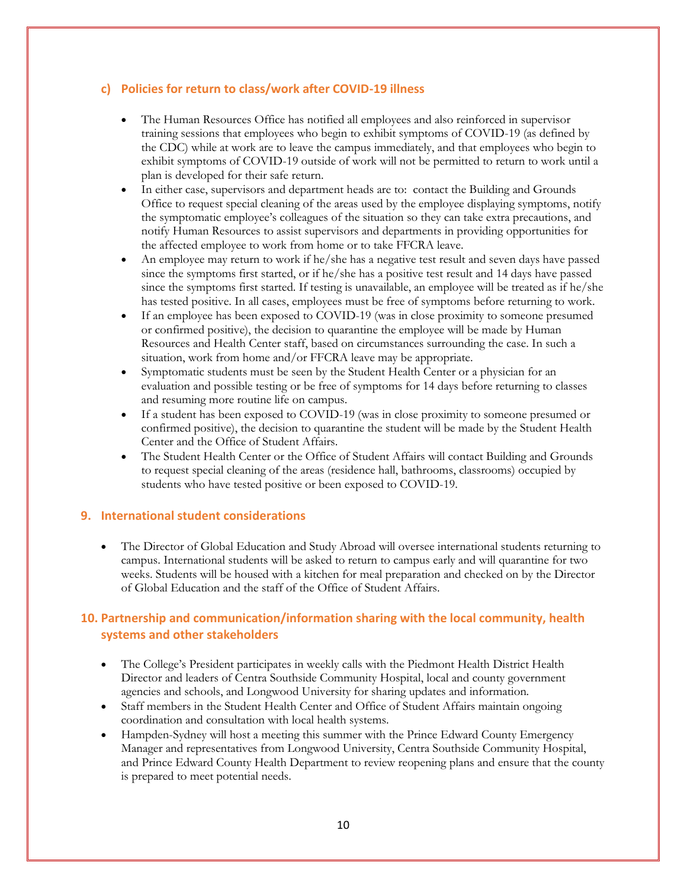#### **c) Policies for return to class/work after COVID-19 illness**

- The Human Resources Office has notified all employees and also reinforced in supervisor training sessions that employees who begin to exhibit symptoms of COVID-19 (as defined by the CDC) while at work are to leave the campus immediately, and that employees who begin to exhibit symptoms of COVID-19 outside of work will not be permitted to return to work until a plan is developed for their safe return.
- In either case, supervisors and department heads are to: contact the Building and Grounds Office to request special cleaning of the areas used by the employee displaying symptoms, notify the symptomatic employee's colleagues of the situation so they can take extra precautions, and notify Human Resources to assist supervisors and departments in providing opportunities for the affected employee to work from home or to take FFCRA leave.
- An employee may return to work if he/she has a negative test result and seven days have passed since the symptoms first started, or if he/she has a positive test result and 14 days have passed since the symptoms first started. If testing is unavailable, an employee will be treated as if he/she has tested positive. In all cases, employees must be free of symptoms before returning to work.
- If an employee has been exposed to COVID-19 (was in close proximity to someone presumed or confirmed positive), the decision to quarantine the employee will be made by Human Resources and Health Center staff, based on circumstances surrounding the case. In such a situation, work from home and/or FFCRA leave may be appropriate.
- Symptomatic students must be seen by the Student Health Center or a physician for an evaluation and possible testing or be free of symptoms for 14 days before returning to classes and resuming more routine life on campus.
- If a student has been exposed to COVID-19 (was in close proximity to someone presumed or confirmed positive), the decision to quarantine the student will be made by the Student Health Center and the Office of Student Affairs.
- The Student Health Center or the Office of Student Affairs will contact Building and Grounds to request special cleaning of the areas (residence hall, bathrooms, classrooms) occupied by students who have tested positive or been exposed to COVID-19.

#### **9. International student considerations**

 The Director of Global Education and Study Abroad will oversee international students returning to campus. International students will be asked to return to campus early and will quarantine for two weeks. Students will be housed with a kitchen for meal preparation and checked on by the Director of Global Education and the staff of the Office of Student Affairs.

## **10. Partnership and communication/information sharing with the local community, health systems and other stakeholders**

- The College's President participates in weekly calls with the Piedmont Health District Health Director and leaders of Centra Southside Community Hospital, local and county government agencies and schools, and Longwood University for sharing updates and information.
- Staff members in the Student Health Center and Office of Student Affairs maintain ongoing coordination and consultation with local health systems.
- Hampden-Sydney will host a meeting this summer with the Prince Edward County Emergency Manager and representatives from Longwood University, Centra Southside Community Hospital, and Prince Edward County Health Department to review reopening plans and ensure that the county is prepared to meet potential needs.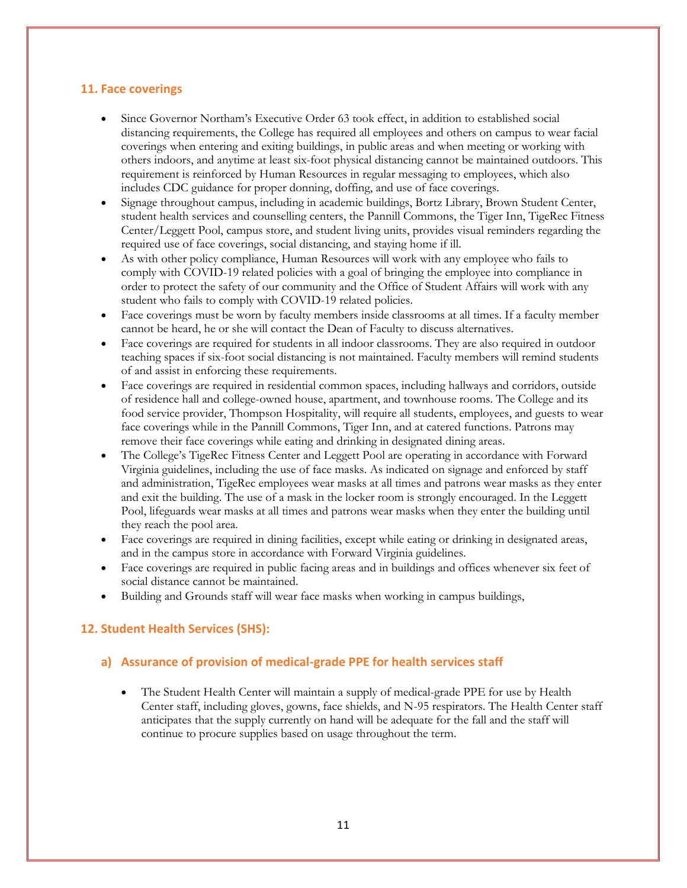#### **11. Face coverings**

- Since Governor Northam's Executive Order 63 took effect, in addition to established social distancing requirements, the College has required all employees and others on campus to wear facial coverings when entering and exiting buildings, in public areas and when meeting or working with others indoors, and anytime at least six-foot physical distancing cannot be maintained outdoors. This requirement is reinforced by Human Resources in regular messaging to employees, which also includes CDC guidance for proper donning, doffing, and use of face coverings.
- Signage throughout campus, including in academic buildings, Bortz Library, Brown Student Center, student health services and counselling centers, the Pannill Commons, the Tiger Inn, TigeRec Fitness Center/Leggett Pool, campus store, and student living units, provides visual reminders regarding the required use of face coverings, social distancing, and staying home if ill.
- As with other policy compliance, Human Resources will work with any employee who fails to comply with COVID-19 related policies with a goal of bringing the employee into compliance in order to protect the safety of our community and the Office of Student Affairs will work with any student who fails to comply with COVID-19 related policies.
- Face coverings must be worn by faculty members inside classrooms at all times. If a faculty member cannot be heard, he or she will contact the Dean of Faculty to discuss alternatives.
- Face coverings are required for students in all indoor classrooms. They are also required in outdoor teaching spaces if six-foot social distancing is not maintained. Faculty members will remind students of and assist in enforcing these requirements.
- Face coverings are required in residential common spaces, including hallways and corridors, outside of residence hall and college-owned house, apartment, and townhouse rooms. The College and its food service provider, Thompson Hospitality, will require all students, employees, and guests to wear face coverings while in the Pannill Commons, Tiger Inn, and at catered functions. Patrons may remove their face coverings while eating and drinking in designated dining areas.
- The College's TigeRec Fitness Center and Leggett Pool are operating in accordance with Forward Virginia guidelines, including the use of face masks. As indicated on signage and enforced by staff and administration, TigeRec employees wear masks at all times and patrons wear masks as they enter and exit the building. The use of a mask in the locker room is strongly encouraged. In the Leggett Pool, lifeguards wear masks at all times and patrons wear masks when they enter the building until they reach the pool area.
- Face coverings are required in dining facilities, except while eating or drinking in designated areas, and in the campus store in accordance with Forward Virginia guidelines.
- Face coverings are required in public facing areas and in buildings and offices whenever six feet of social distance cannot be maintained.
- Building and Grounds staff will wear face masks when working in campus buildings,

## **12. Student Health Services (SHS):**

#### **a) Assurance of provision of medical-grade PPE for health services staff**

• The Student Health Center will maintain a supply of medical-grade PPE for use by Health Center staff, including gloves, gowns, face shields, and N-95 respirators. The Health Center staff anticipates that the supply currently on hand will be adequate for the fall and the staff will continue to procure supplies based on usage throughout the term.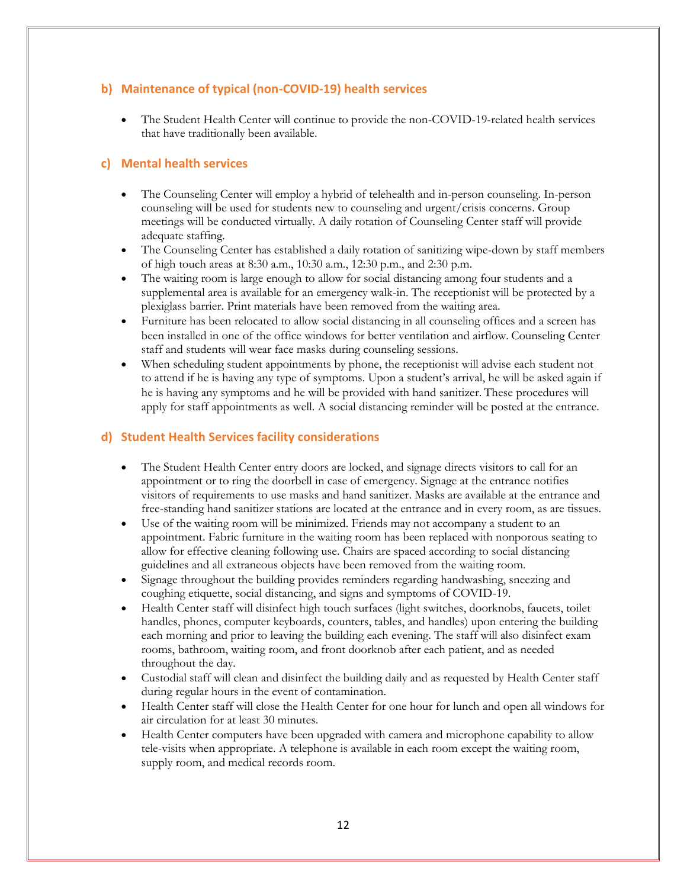#### **b) Maintenance of typical (non-COVID-19) health services**

 The Student Health Center will continue to provide the non-COVID-19-related health services that have traditionally been available.

#### **c) Mental health services**

- The Counseling Center will employ a hybrid of telehealth and in-person counseling. In-person counseling will be used for students new to counseling and urgent/crisis concerns. Group meetings will be conducted virtually. A daily rotation of Counseling Center staff will provide adequate staffing.
- The Counseling Center has established a daily rotation of sanitizing wipe-down by staff members of high touch areas at 8:30 a.m., 10:30 a.m., 12:30 p.m., and 2:30 p.m.
- The waiting room is large enough to allow for social distancing among four students and a supplemental area is available for an emergency walk-in. The receptionist will be protected by a plexiglass barrier. Print materials have been removed from the waiting area.
- Furniture has been relocated to allow social distancing in all counseling offices and a screen has been installed in one of the office windows for better ventilation and airflow. Counseling Center staff and students will wear face masks during counseling sessions.
- When scheduling student appointments by phone, the receptionist will advise each student not to attend if he is having any type of symptoms. Upon a student's arrival, he will be asked again if he is having any symptoms and he will be provided with hand sanitizer. These procedures will apply for staff appointments as well. A social distancing reminder will be posted at the entrance.

#### **d) Student Health Services facility considerations**

- The Student Health Center entry doors are locked, and signage directs visitors to call for an appointment or to ring the doorbell in case of emergency. Signage at the entrance notifies visitors of requirements to use masks and hand sanitizer. Masks are available at the entrance and free-standing hand sanitizer stations are located at the entrance and in every room, as are tissues.
- Use of the waiting room will be minimized. Friends may not accompany a student to an appointment. Fabric furniture in the waiting room has been replaced with nonporous seating to allow for effective cleaning following use. Chairs are spaced according to social distancing guidelines and all extraneous objects have been removed from the waiting room.
- Signage throughout the building provides reminders regarding handwashing, sneezing and coughing etiquette, social distancing, and signs and symptoms of COVID-19.
- Health Center staff will disinfect high touch surfaces (light switches, doorknobs, faucets, toilet handles, phones, computer keyboards, counters, tables, and handles) upon entering the building each morning and prior to leaving the building each evening. The staff will also disinfect exam rooms, bathroom, waiting room, and front doorknob after each patient, and as needed throughout the day.
- Custodial staff will clean and disinfect the building daily and as requested by Health Center staff during regular hours in the event of contamination.
- Health Center staff will close the Health Center for one hour for lunch and open all windows for air circulation for at least 30 minutes.
- Health Center computers have been upgraded with camera and microphone capability to allow tele-visits when appropriate. A telephone is available in each room except the waiting room, supply room, and medical records room.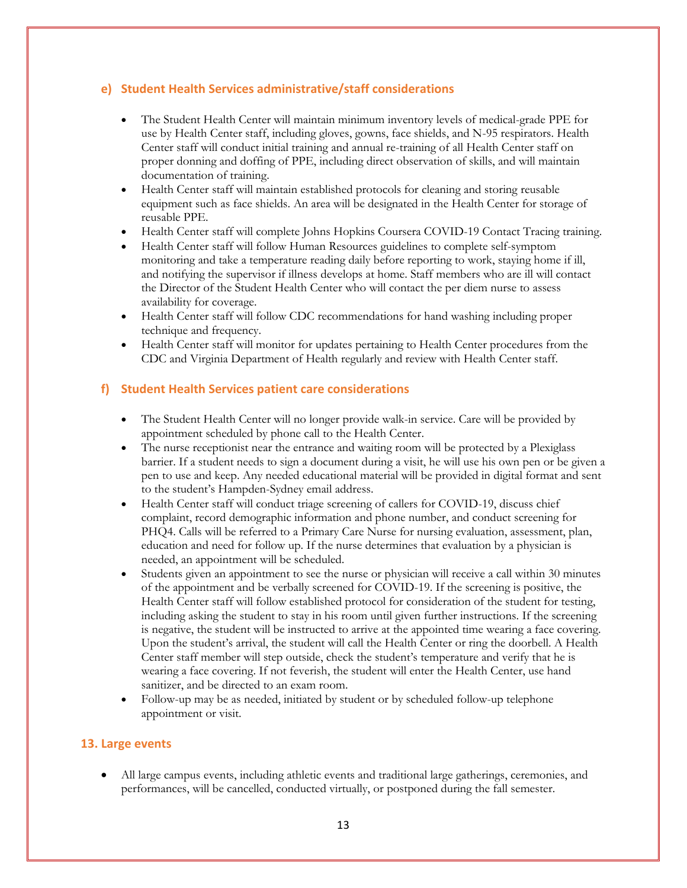#### **e) Student Health Services administrative/staff considerations**

- The Student Health Center will maintain minimum inventory levels of medical-grade PPE for use by Health Center staff, including gloves, gowns, face shields, and N-95 respirators. Health Center staff will conduct initial training and annual re-training of all Health Center staff on proper donning and doffing of PPE, including direct observation of skills, and will maintain documentation of training.
- Health Center staff will maintain established protocols for cleaning and storing reusable equipment such as face shields. An area will be designated in the Health Center for storage of reusable PPE.
- Health Center staff will complete Johns Hopkins Coursera COVID-19 Contact Tracing training.
- Health Center staff will follow Human Resources guidelines to complete self-symptom monitoring and take a temperature reading daily before reporting to work, staying home if ill, and notifying the supervisor if illness develops at home. Staff members who are ill will contact the Director of the Student Health Center who will contact the per diem nurse to assess availability for coverage.
- Health Center staff will follow CDC recommendations for hand washing including proper technique and frequency.
- Health Center staff will monitor for updates pertaining to Health Center procedures from the CDC and Virginia Department of Health regularly and review with Health Center staff.

## **f) Student Health Services patient care considerations**

- The Student Health Center will no longer provide walk-in service. Care will be provided by appointment scheduled by phone call to the Health Center.
- The nurse receptionist near the entrance and waiting room will be protected by a Plexiglass barrier. If a student needs to sign a document during a visit, he will use his own pen or be given a pen to use and keep. Any needed educational material will be provided in digital format and sent to the student's Hampden-Sydney email address.
- Health Center staff will conduct triage screening of callers for COVID-19, discuss chief complaint, record demographic information and phone number, and conduct screening for PHQ4. Calls will be referred to a Primary Care Nurse for nursing evaluation, assessment, plan, education and need for follow up. If the nurse determines that evaluation by a physician is needed, an appointment will be scheduled.
- Students given an appointment to see the nurse or physician will receive a call within 30 minutes of the appointment and be verbally screened for COVID-19. If the screening is positive, the Health Center staff will follow established protocol for consideration of the student for testing, including asking the student to stay in his room until given further instructions. If the screening is negative, the student will be instructed to arrive at the appointed time wearing a face covering. Upon the student's arrival, the student will call the Health Center or ring the doorbell. A Health Center staff member will step outside, check the student's temperature and verify that he is wearing a face covering. If not feverish, the student will enter the Health Center, use hand sanitizer, and be directed to an exam room.
- Follow-up may be as needed, initiated by student or by scheduled follow-up telephone appointment or visit.

#### **13. Large events**

 All large campus events, including athletic events and traditional large gatherings, ceremonies, and performances, will be cancelled, conducted virtually, or postponed during the fall semester.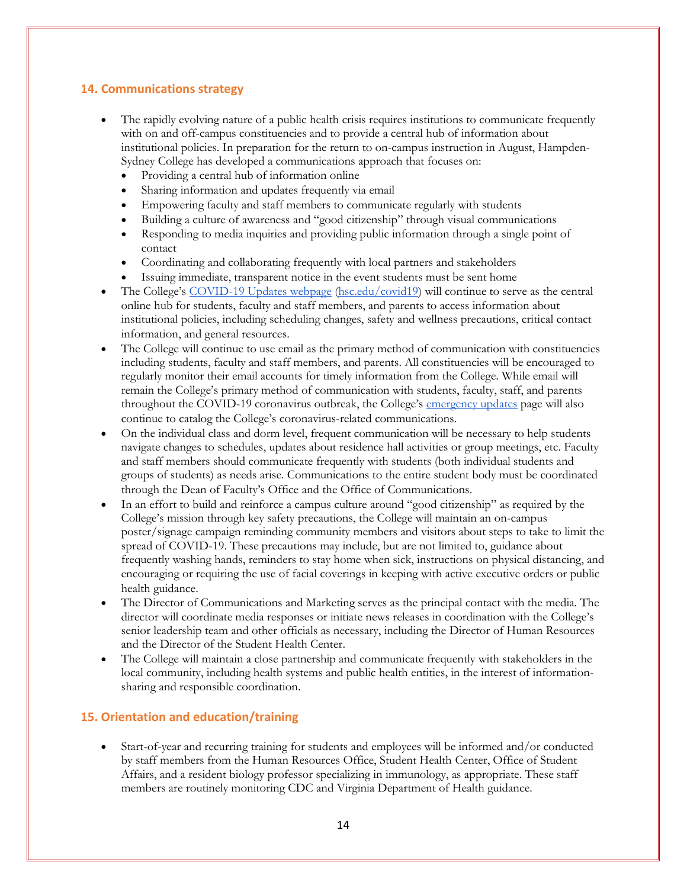## **14. Communications strategy**

- The rapidly evolving nature of a public health crisis requires institutions to communicate frequently with on and off-campus constituencies and to provide a central hub of information about institutional policies. In preparation for the return to on-campus instruction in August, Hampden-Sydney College has developed a communications approach that focuses on:
	- Providing a central hub of information online
	- Sharing information and updates frequently via email
	- Empowering faculty and staff members to communicate regularly with students
	- Building a culture of awareness and "good citizenship" through visual communications
	- Responding to media inquiries and providing public information through a single point of contact
	- Coordinating and collaborating frequently with local partners and stakeholders
	- Issuing immediate, transparent notice in the event students must be sent home
- The College's [COVID-19 Updates webpage](http://www.hsc.edu/emergencies/emergency-updates/covid-19-info) [\(hsc.edu/covid19\)](http://www.hsc.edu/covid19) will continue to serve as the central online hub for students, faculty and staff members, and parents to access information about institutional policies, including scheduling changes, safety and wellness precautions, critical contact information, and general resources.
- The College will continue to use email as the primary method of communication with constituencies including students, faculty and staff members, and parents. All constituencies will be encouraged to regularly monitor their email accounts for timely information from the College. While email will remain the College's primary method of communication with students, faculty, staff, and parents throughout the COVID-19 coronavirus outbreak, the College's [emergency updates](http://www.hsc.edu/emergencies/emergency-updates) page will also continue to catalog the College's coronavirus-related communications.
- On the individual class and dorm level, frequent communication will be necessary to help students navigate changes to schedules, updates about residence hall activities or group meetings, etc. Faculty and staff members should communicate frequently with students (both individual students and groups of students) as needs arise. Communications to the entire student body must be coordinated through the Dean of Faculty's Office and the Office of Communications.
- In an effort to build and reinforce a campus culture around "good citizenship" as required by the College's mission through key safety precautions, the College will maintain an on-campus poster/signage campaign reminding community members and visitors about steps to take to limit the spread of COVID-19. These precautions may include, but are not limited to, guidance about frequently washing hands, reminders to stay home when sick, instructions on physical distancing, and encouraging or requiring the use of facial coverings in keeping with active executive orders or public health guidance.
- The Director of Communications and Marketing serves as the principal contact with the media. The director will coordinate media responses or initiate news releases in coordination with the College's senior leadership team and other officials as necessary, including the Director of Human Resources and the Director of the Student Health Center.
- The College will maintain a close partnership and communicate frequently with stakeholders in the local community, including health systems and public health entities, in the interest of informationsharing and responsible coordination.

#### **15. Orientation and education/training**

 Start-of-year and recurring training for students and employees will be informed and/or conducted by staff members from the Human Resources Office, Student Health Center, Office of Student Affairs, and a resident biology professor specializing in immunology, as appropriate. These staff members are routinely monitoring CDC and Virginia Department of Health guidance.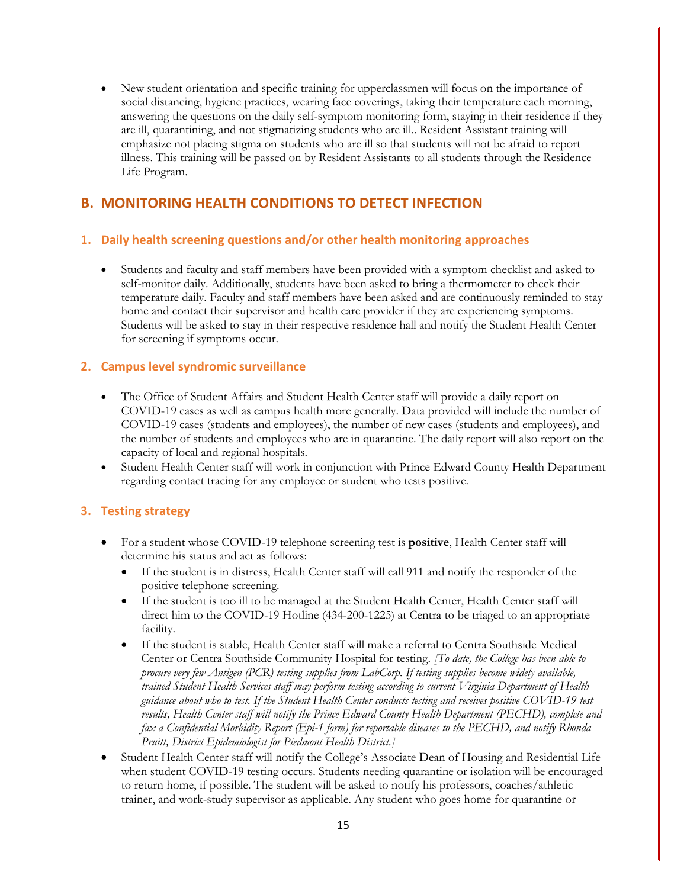New student orientation and specific training for upperclassmen will focus on the importance of social distancing, hygiene practices, wearing face coverings, taking their temperature each morning, answering the questions on the daily self-symptom monitoring form, staying in their residence if they are ill, quarantining, and not stigmatizing students who are ill.. Resident Assistant training will emphasize not placing stigma on students who are ill so that students will not be afraid to report illness. This training will be passed on by Resident Assistants to all students through the Residence Life Program.

## **B. MONITORING HEALTH CONDITIONS TO DETECT INFECTION**

#### **1. Daily health screening questions and/or other health monitoring approaches**

 Students and faculty and staff members have been provided with a symptom checklist and asked to self-monitor daily. Additionally, students have been asked to bring a thermometer to check their temperature daily. Faculty and staff members have been asked and are continuously reminded to stay home and contact their supervisor and health care provider if they are experiencing symptoms. Students will be asked to stay in their respective residence hall and notify the Student Health Center for screening if symptoms occur.

## **2. Campus level syndromic surveillance**

- The Office of Student Affairs and Student Health Center staff will provide a daily report on COVID-19 cases as well as campus health more generally. Data provided will include the number of COVID-19 cases (students and employees), the number of new cases (students and employees), and the number of students and employees who are in quarantine. The daily report will also report on the capacity of local and regional hospitals.
- Student Health Center staff will work in conjunction with Prince Edward County Health Department regarding contact tracing for any employee or student who tests positive.

#### **3. Testing strategy**

- For a student whose COVID-19 telephone screening test is **positive**, Health Center staff will determine his status and act as follows:
	- If the student is in distress, Health Center staff will call 911 and notify the responder of the positive telephone screening.
	- If the student is too ill to be managed at the Student Health Center, Health Center staff will direct him to the COVID-19 Hotline (434-200-1225) at Centra to be triaged to an appropriate facility.
	- If the student is stable, Health Center staff will make a referral to Centra Southside Medical Center or Centra Southside Community Hospital for testing. *[To date, the College has been able to procure very few Antigen (PCR) testing supplies from LabCorp. If testing supplies become widely available, trained Student Health Services staff may perform testing according to current Virginia Department of Health guidance about who to test. If the Student Health Center conducts testing and receives positive COVID-19 test results, Health Center staff will notify the Prince Edward County Health Department (PECHD), complete and fax a Confidential Morbidity Report (Epi-1 form) for reportable diseases to the PECHD, and notify Rhonda Pruitt, District Epidemiologist for Piedmont Health District.]*
- Student Health Center staff will notify the College's Associate Dean of Housing and Residential Life when student COVID-19 testing occurs. Students needing quarantine or isolation will be encouraged to return home, if possible. The student will be asked to notify his professors, coaches/athletic trainer, and work-study supervisor as applicable. Any student who goes home for quarantine or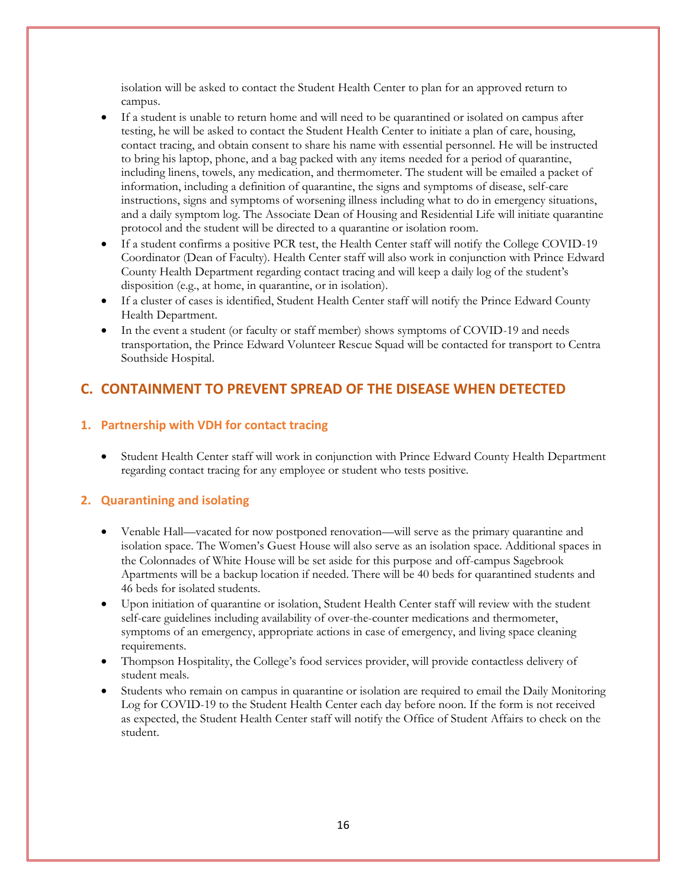isolation will be asked to contact the Student Health Center to plan for an approved return to campus.

- If a student is unable to return home and will need to be quarantined or isolated on campus after testing, he will be asked to contact the Student Health Center to initiate a plan of care, housing, contact tracing, and obtain consent to share his name with essential personnel. He will be instructed to bring his laptop, phone, and a bag packed with any items needed for a period of quarantine, including linens, towels, any medication, and thermometer. The student will be emailed a packet of information, including a definition of quarantine, the signs and symptoms of disease, self-care instructions, signs and symptoms of worsening illness including what to do in emergency situations, and a daily symptom log. The Associate Dean of Housing and Residential Life will initiate quarantine protocol and the student will be directed to a quarantine or isolation room.
- If a student confirms a positive PCR test, the Health Center staff will notify the College COVID-19 Coordinator (Dean of Faculty). Health Center staff will also work in conjunction with Prince Edward County Health Department regarding contact tracing and will keep a daily log of the student's disposition (e.g., at home, in quarantine, or in isolation).
- If a cluster of cases is identified, Student Health Center staff will notify the Prince Edward County Health Department.
- In the event a student (or faculty or staff member) shows symptoms of COVID-19 and needs transportation, the Prince Edward Volunteer Rescue Squad will be contacted for transport to Centra Southside Hospital.

## **C. CONTAINMENT TO PREVENT SPREAD OF THE DISEASE WHEN DETECTED**

#### **1. Partnership with VDH for contact tracing**

 Student Health Center staff will work in conjunction with Prince Edward County Health Department regarding contact tracing for any employee or student who tests positive.

## **2. Quarantining and isolating**

- Venable Hall—vacated for now postponed renovation—will serve as the primary quarantine and isolation space. The Women's Guest House will also serve as an isolation space. Additional spaces in the Colonnades of White House will be set aside for this purpose and off-campus Sagebrook Apartments will be a backup location if needed. There will be 40 beds for quarantined students and 46 beds for isolated students.
- Upon initiation of quarantine or isolation, Student Health Center staff will review with the student self-care guidelines including availability of over-the-counter medications and thermometer, symptoms of an emergency, appropriate actions in case of emergency, and living space cleaning requirements.
- Thompson Hospitality, the College's food services provider, will provide contactless delivery of student meals.
- Students who remain on campus in quarantine or isolation are required to email the Daily Monitoring Log for COVID-19 to the Student Health Center each day before noon. If the form is not received as expected, the Student Health Center staff will notify the Office of Student Affairs to check on the student.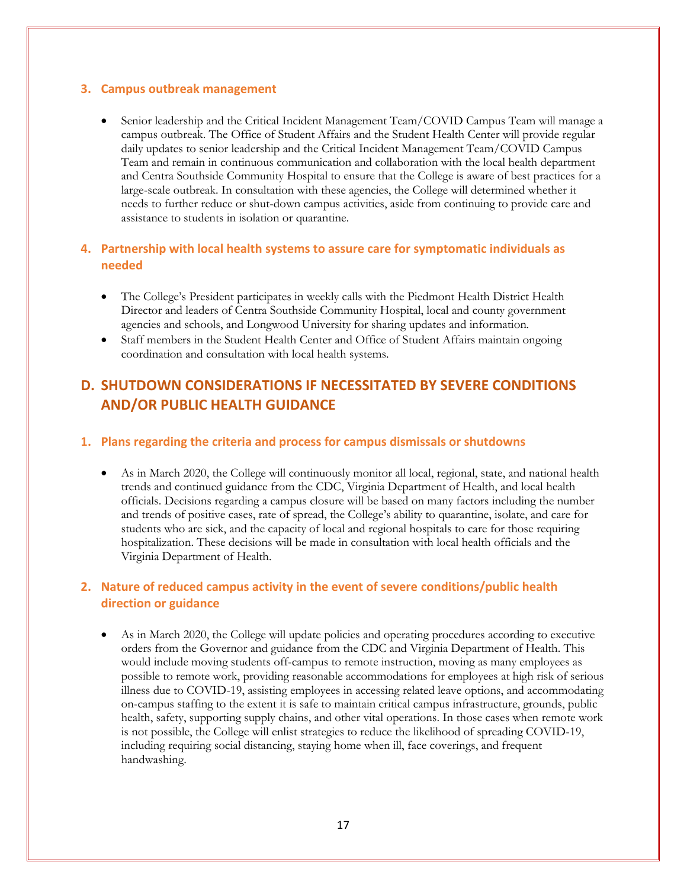#### **3. Campus outbreak management**

• Senior leadership and the Critical Incident Management Team/COVID Campus Team will manage a campus outbreak. The Office of Student Affairs and the Student Health Center will provide regular daily updates to senior leadership and the Critical Incident Management Team/COVID Campus Team and remain in continuous communication and collaboration with the local health department and Centra Southside Community Hospital to ensure that the College is aware of best practices for a large-scale outbreak. In consultation with these agencies, the College will determined whether it needs to further reduce or shut-down campus activities, aside from continuing to provide care and assistance to students in isolation or quarantine.

## **4. Partnership with local health systems to assure care for symptomatic individuals as needed**

- The College's President participates in weekly calls with the Piedmont Health District Health Director and leaders of Centra Southside Community Hospital, local and county government agencies and schools, and Longwood University for sharing updates and information.
- Staff members in the Student Health Center and Office of Student Affairs maintain ongoing coordination and consultation with local health systems.

## **D. SHUTDOWN CONSIDERATIONS IF NECESSITATED BY SEVERE CONDITIONS AND/OR PUBLIC HEALTH GUIDANCE**

#### **1. Plans regarding the criteria and process for campus dismissals or shutdowns**

 As in March 2020, the College will continuously monitor all local, regional, state, and national health trends and continued guidance from the CDC, Virginia Department of Health, and local health officials. Decisions regarding a campus closure will be based on many factors including the number and trends of positive cases, rate of spread, the College's ability to quarantine, isolate, and care for students who are sick, and the capacity of local and regional hospitals to care for those requiring hospitalization. These decisions will be made in consultation with local health officials and the Virginia Department of Health.

## **2. Nature of reduced campus activity in the event of severe conditions/public health direction or guidance**

 As in March 2020, the College will update policies and operating procedures according to executive orders from the Governor and guidance from the CDC and Virginia Department of Health. This would include moving students off-campus to remote instruction, moving as many employees as possible to remote work, providing reasonable accommodations for employees at high risk of serious illness due to COVID-19, assisting employees in accessing related leave options, and accommodating on-campus staffing to the extent it is safe to maintain critical campus infrastructure, grounds, public health, safety, supporting supply chains, and other vital operations. In those cases when remote work is not possible, the College will enlist strategies to reduce the likelihood of spreading COVID-19, including requiring social distancing, staying home when ill, face coverings, and frequent handwashing.